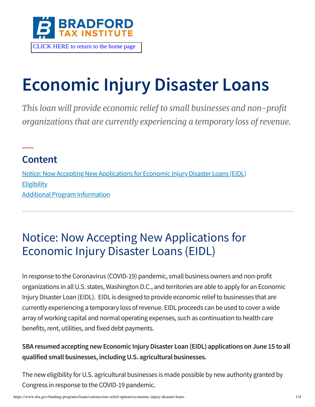

# **Economic Injury Disaster Loans**

*This loan will provide economic relief to small businesses and non-profit organizations that are currently experiencing a temporary loss of revenue.*

### **Content**

[Notice: Now Accepting New Applications for Economic Injury Disaster Loans \(EIDL\)](#page-0-0) **[Eligibility](#page-1-0)** [Additional Program Information](#page-1-1)

## <span id="page-0-0"></span>Notice: Now Accepting New Applications for Economic Injury Disaster Loans (EIDL)

In response to the Coronavirus (COVID-19) pandemic, small business owners and non-profit organizations in all U.S. states, Washington D.C., and territories are able to apply for an Economic Injury Disaster Loan (EIDL). EIDL is designed to provide economic relief to businesses that are currently experiencing a temporary loss of revenue. EIDL proceeds can be used to cover a wide array of working capital and normal operating expenses, such as continuation to health care benefits, rent, utilities, and fixed debt payments.

#### **SBA resumed accepting new Economic Injury Disaster Loan (EIDL) applications on June 15 to all qualified small businesses, including U.S. agricultural businesses.**

The new eligibility for U.S. agricultural businesses is made possible by new authority granted by Congress in response to the COVID-19 pandemic.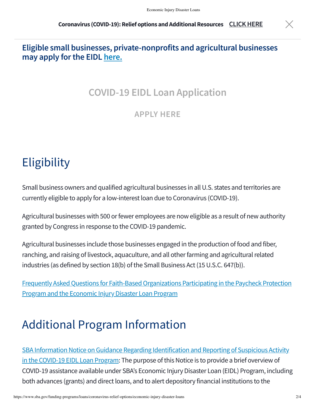#### **Eligible small businesses, private-nonprofits and agricultural businesses may apply for the EIDL [here.](https://covid19relief.sba.gov/)**

#### **COVID-19 EIDL Loan Application**

**[APPLY HERE](https://covid19relief.sba.gov/)**

## <span id="page-1-0"></span>**Eligibility**

Small business owners and qualified agricultural businesses in all U.S. states and territories are currently eligible to apply for a low-interest loan due to Coronavirus (COVID-19).

Agricultural businesses with 500 or fewer employees are now eligible as a result of new authority granted by Congress in response to the COVID-19 pandemic.

Agricultural businesses include those businesses engaged in the production of food and fiber, ranching, and raising of livestock, aquaculture, and all other farming and agricultural related industries (as defined by section 18(b) of the Small Business Act (15 U.S.C. 647(b)).

[Frequently Asked Questions for Faith-Based Organizations Participating in the Paycheck Protection](https://www.sba.gov/document/support--faq-regarding-participation-faith-based-organizations-ppp-eidl) Program and the Economic Injury Disaster Loan Program

## <span id="page-1-1"></span>Additional Program Information

[SBA Information Notice on Guidance Regarding Identification and Reporting of Suspicious Activity](https://www.sba.gov/document/information-notice-5000-20037-guidance-regarding-identification-reporting-suspicious-activity-covid-19-eidl-loan-program) in the COVID-19 EIDL Loan Program: The purpose of this Notice is to provide a brief overview of COVID-19 assistance available under SBA's Economic Injury Disaster Loan (EIDL) Program, including both advances (grants) and direct loans, and to alert depository financial institutions to the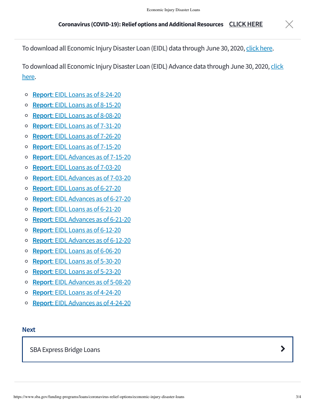To download all Economic Injury Disaster Loan (EIDL) data through June 30, 2020, [click here](https://sba.box.com/s/45qramxy9dkewr6dvnhaz23f8yopytz3).

[To download all Economic Injury Disaster Loan \(EIDL\) Advance data through June 30, 2020, click](https://sba.box.com/s/3uzz8bqipjfks8sum95e63qczm43pfs2) here.

- **Report**[: EIDL Loans as of 8-24-20](https://www.sba.gov/document/report-covid-19-eidl-loans-report-8-24-19)  $\circ$
- **Report**[: EIDL Loans as of 8-15-20](https://www.sba.gov/document/report-covid-19-eidl-loans-report-8-15-20)  $\circ$
- **Report**[: EIDL Loans as of 8-08-20](https://www.sba.gov/document/report-covid-19-eidl-loans-report-8-08-20)  $\circ$
- **Report**[: EIDL Loans as of 7-31-20](https://www.sba.gov/document/report-covid-19-eidl-loans-report-7-31-20)  $\circ$
- **Report**[: EIDL Loans as of 7-26-20](https://www.sba.gov/document/report-covid-19-eidl-loans-report-7-26-20)  $\circ$
- $\circ$ **Report**[: EIDL Loans as of 7-15-20](https://www.sba.gov/document/report-covid-19-eidl-loans-report-07-15-20)
- **Report**[: EIDL Advances as of 7-15-20](https://www.sba.gov/document/report-covid-19-eidl-advance-report-07-15-20)  $\circ$
- **Report**[: EIDL Loans as of 7-03-20](https://www.sba.gov/document/report-covid-19-eidl-loans-report-7-03-20)  $\circ$
- **Report**[: EIDL Advances as of 7-03-20](https://www.sba.gov/document/report-covid-19-eidl-advance-report-7-03-20)  $\circ$
- **Report**[: EIDL Loans as of 6-27-20](https://www.sba.gov/document/report-covid-19-eidl-loans-report-6-27-20)  $\circ$
- **Report**[: EIDL Advances as of 6-27-20](https://www.sba.gov/document/report-covid-19-eidl-advance-report-6-27-20)  $\circ$
- **Report**[: EIDL Loans as of 6-21-20](https://www.sba.gov/document/report-covid-19-eidl-loans-report-6-21-20)  $\circ$
- **Report**[: EIDL Advances as of 6-21-20](https://www.sba.gov/document/report-covid-19-eidl-advance-report-6-21-20)  $\circ$
- **Report**[: EIDL Loans as of 6-12-20](https://www.sba.gov/document/report--covid-19-eidl-loans-report-6-12-20)  $\circ$
- **Report**[: EIDL Advances as of 6-12-20](https://www.sba.gov/document/report--covid-19-eidl-advance-report-6-12-20)  $\circ$
- **Report**[: EIDL Loans as of 6-06-20](https://www.sba.gov/document/report--covid-19-eidl-loan-report-06-06-2020)  $\circ$
- **Report**[: EIDL Loans as of 5-30-20](https://www.sba.gov/document/report--covid-19-eidl-loans-report-5-30-20)  $\circ$
- **Report**[: EIDL Loans as of 5-23-20](https://www.sba.gov/document/report--covid-19-eidl-loans-report-5-23-20)  $\circ$
- **Report**[: EIDL Advances as of 5-08-20](https://www.sba.gov/document/report--covid-19-eidl-advance-report-5-8-20)  $\circ$
- **Report**[: EIDL Loans as of 4-24-20](https://www.sba.gov/document/report--covid-19-eidl-loans-report)  $\circ$
- **Report**[: EIDL Advances as of 4-24-20](https://www.sba.gov/document/report--covid-19-eidl-advance-report)  $\circ$

#### **Next**

[SBA Express Bridge Loans](https://www.sba.gov/funding-programs/loans/coronavirus-relief-options/sba-express-bridge-loans)